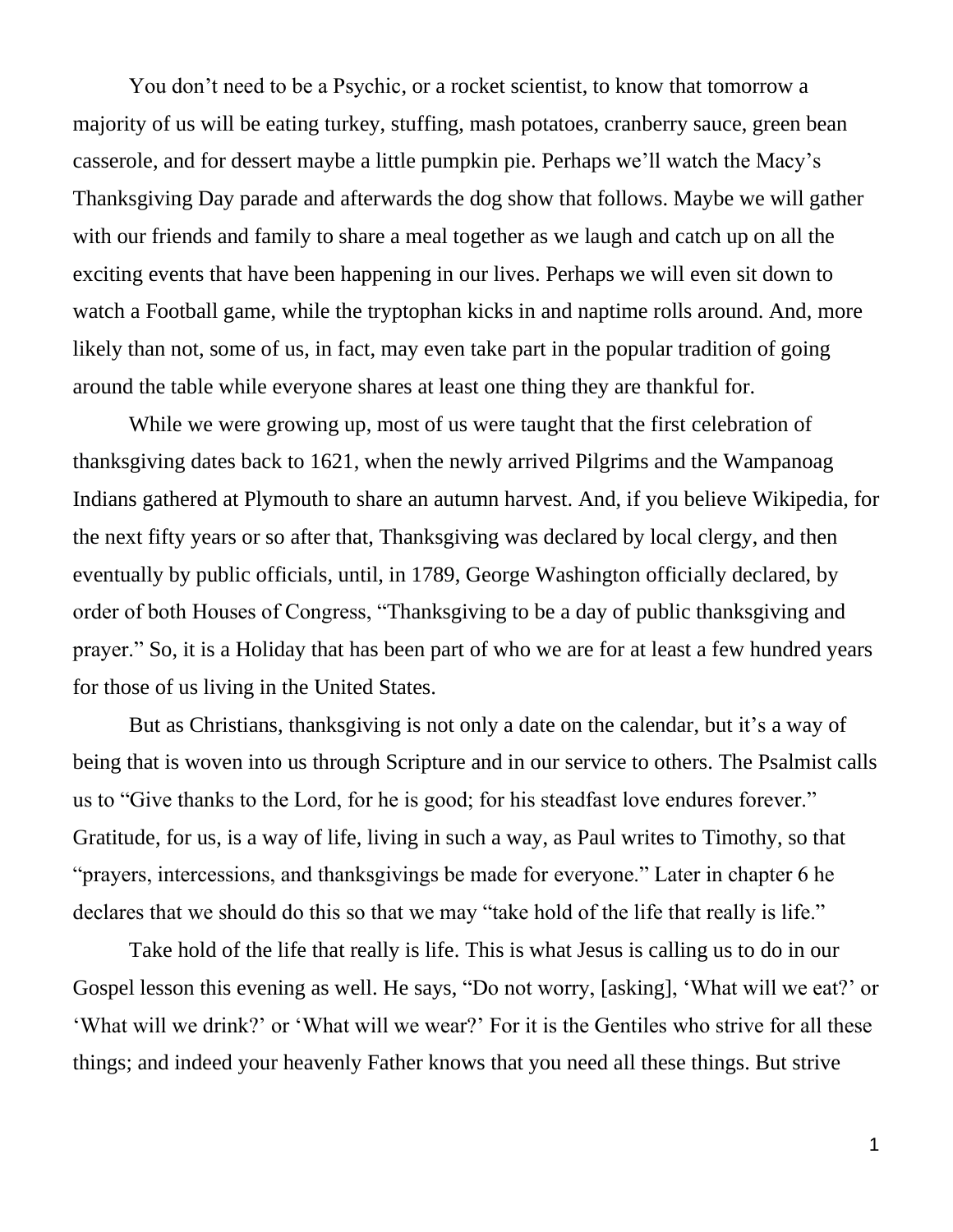You don't need to be a Psychic, or a rocket scientist, to know that tomorrow a majority of us will be eating turkey, stuffing, mash potatoes, cranberry sauce, green bean casserole, and for dessert maybe a little pumpkin pie. Perhaps we'll watch the Macy's Thanksgiving Day parade and afterwards the dog show that follows. Maybe we will gather with our friends and family to share a meal together as we laugh and catch up on all the exciting events that have been happening in our lives. Perhaps we will even sit down to watch a Football game, while the tryptophan kicks in and naptime rolls around. And, more likely than not, some of us, in fact, may even take part in the popular tradition of going around the table while everyone shares at least one thing they are thankful for.

While we were growing up, most of us were taught that the first celebration of thanksgiving dates back to 1621, when the newly arrived Pilgrims and the Wampanoag Indians gathered at Plymouth to share an autumn harvest. And, if you believe Wikipedia, for the next fifty years or so after that, Thanksgiving was declared by local clergy, and then eventually by public officials, until, in 1789, George Washington officially declared, by order of both Houses of Congress, "Thanksgiving to be a day of public thanksgiving and prayer." So, it is a Holiday that has been part of who we are for at least a few hundred years for those of us living in the United States.

But as Christians, thanksgiving is not only a date on the calendar, but it's a way of being that is woven into us through Scripture and in our service to others. The Psalmist calls us to "Give thanks to the Lord, for he is good; for his steadfast love endures forever." Gratitude, for us, is a way of life, living in such a way, as Paul writes to Timothy, so that "prayers, intercessions, and thanksgivings be made for everyone." Later in chapter 6 he declares that we should do this so that we may "take hold of the life that really is life."

Take hold of the life that really is life. This is what Jesus is calling us to do in our Gospel lesson this evening as well. He says, "Do not worry, [asking], 'What will we eat?' or 'What will we drink?' or 'What will we wear?' For it is the Gentiles who strive for all these things; and indeed your heavenly Father knows that you need all these things. But strive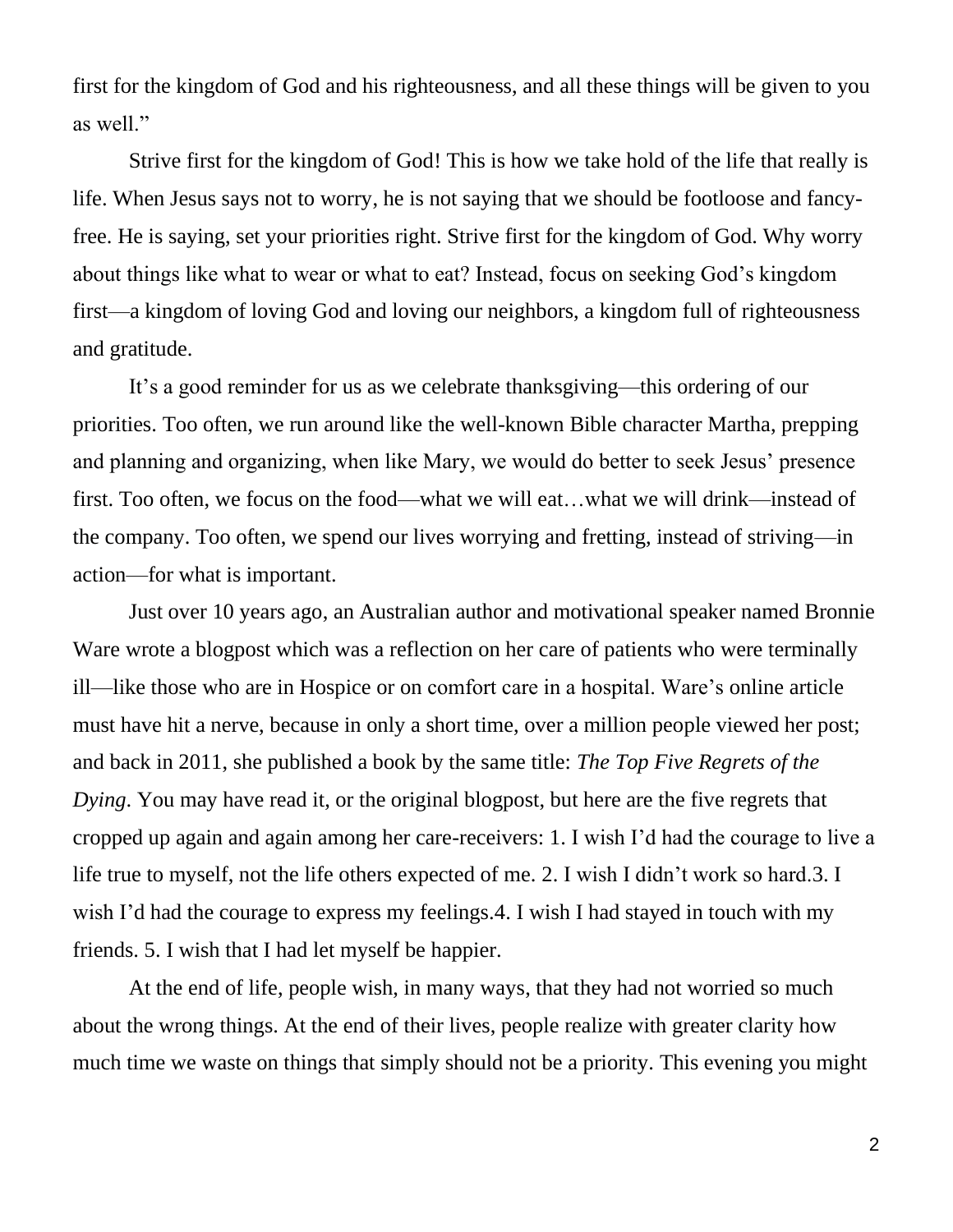first for the kingdom of God and his righteousness, and all these things will be given to you as well."

Strive first for the kingdom of God! This is how we take hold of the life that really is life. When Jesus says not to worry, he is not saying that we should be footloose and fancyfree. He is saying, set your priorities right. Strive first for the kingdom of God. Why worry about things like what to wear or what to eat? Instead, focus on seeking God's kingdom first—a kingdom of loving God and loving our neighbors, a kingdom full of righteousness and gratitude.

It's a good reminder for us as we celebrate thanksgiving—this ordering of our priorities. Too often, we run around like the well-known Bible character Martha, prepping and planning and organizing, when like Mary, we would do better to seek Jesus' presence first. Too often, we focus on the food—what we will eat…what we will drink—instead of the company. Too often, we spend our lives worrying and fretting, instead of striving—in action—for what is important.

Just over 10 years ago, an Australian author and motivational speaker named Bronnie Ware wrote a blogpost which was a reflection on her care of patients who were terminally ill—like those who are in Hospice or on comfort care in a hospital. Ware's online article must have hit a nerve, because in only a short time, over a million people viewed her post; and back in 2011, she published a book by the same title: *The Top Five Regrets of the Dying*. You may have read it, or the original blogpost, but here are the five regrets that cropped up again and again among her care-receivers: 1. I wish I'd had the courage to live a life true to myself, not the life others expected of me. 2. I wish I didn't work so hard.3. I wish I'd had the courage to express my feelings. 4. I wish I had stayed in touch with my friends. 5. I wish that I had let myself be happier.

At the end of life, people wish, in many ways, that they had not worried so much about the wrong things. At the end of their lives, people realize with greater clarity how much time we waste on things that simply should not be a priority. This evening you might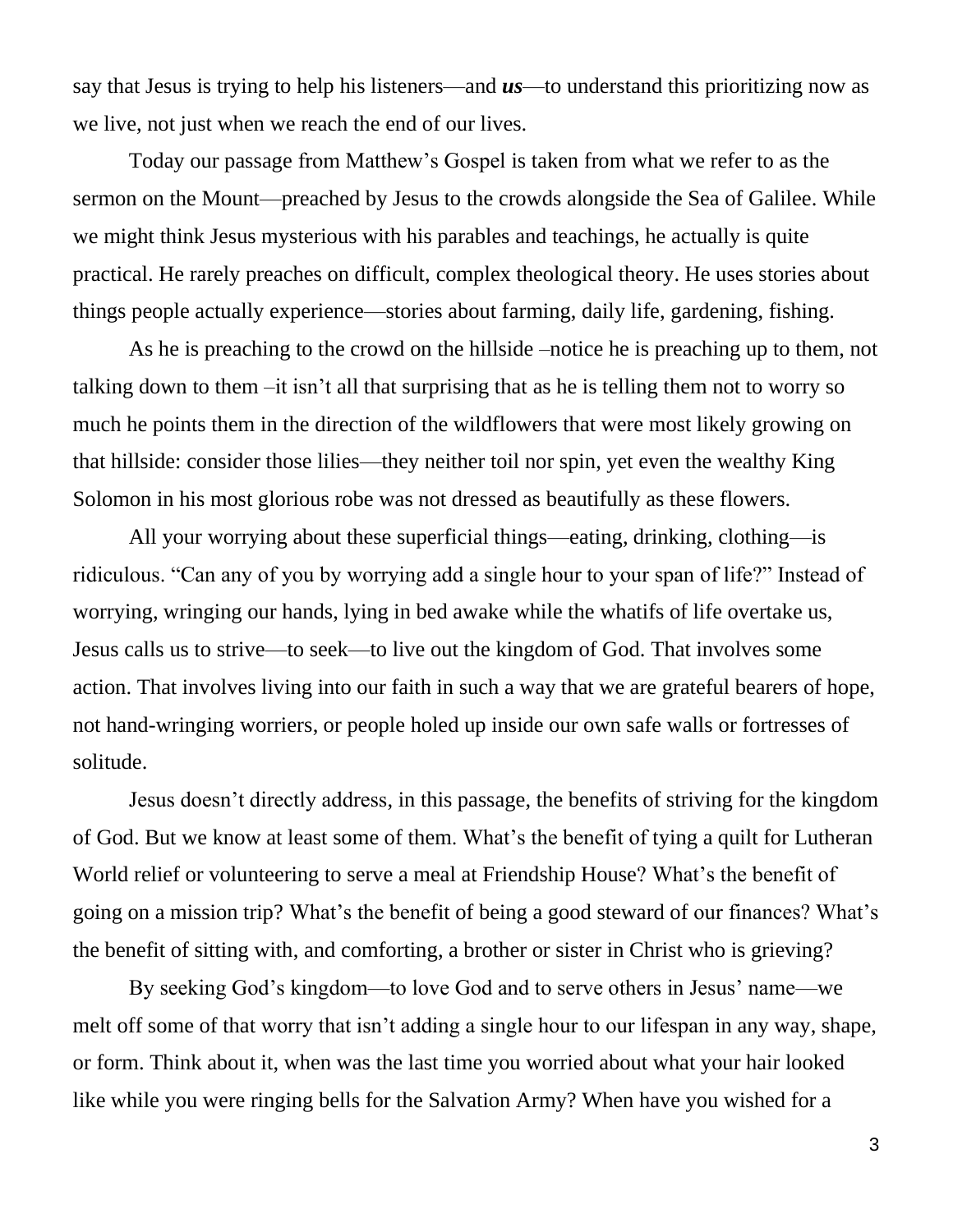say that Jesus is trying to help his listeners—and *us*—to understand this prioritizing now as we live, not just when we reach the end of our lives.

Today our passage from Matthew's Gospel is taken from what we refer to as the sermon on the Mount—preached by Jesus to the crowds alongside the Sea of Galilee. While we might think Jesus mysterious with his parables and teachings, he actually is quite practical. He rarely preaches on difficult, complex theological theory. He uses stories about things people actually experience—stories about farming, daily life, gardening, fishing.

As he is preaching to the crowd on the hillside –notice he is preaching up to them, not talking down to them –it isn't all that surprising that as he is telling them not to worry so much he points them in the direction of the wildflowers that were most likely growing on that hillside: consider those lilies—they neither toil nor spin, yet even the wealthy King Solomon in his most glorious robe was not dressed as beautifully as these flowers.

All your worrying about these superficial things—eating, drinking, clothing—is ridiculous. "Can any of you by worrying add a single hour to your span of life?" Instead of worrying, wringing our hands, lying in bed awake while the whatifs of life overtake us, Jesus calls us to strive—to seek—to live out the kingdom of God. That involves some action. That involves living into our faith in such a way that we are grateful bearers of hope, not hand-wringing worriers, or people holed up inside our own safe walls or fortresses of solitude.

Jesus doesn't directly address, in this passage, the benefits of striving for the kingdom of God. But we know at least some of them. What's the benefit of tying a quilt for Lutheran World relief or volunteering to serve a meal at Friendship House? What's the benefit of going on a mission trip? What's the benefit of being a good steward of our finances? What's the benefit of sitting with, and comforting, a brother or sister in Christ who is grieving?

By seeking God's kingdom—to love God and to serve others in Jesus' name—we melt off some of that worry that isn't adding a single hour to our lifespan in any way, shape, or form. Think about it, when was the last time you worried about what your hair looked like while you were ringing bells for the Salvation Army? When have you wished for a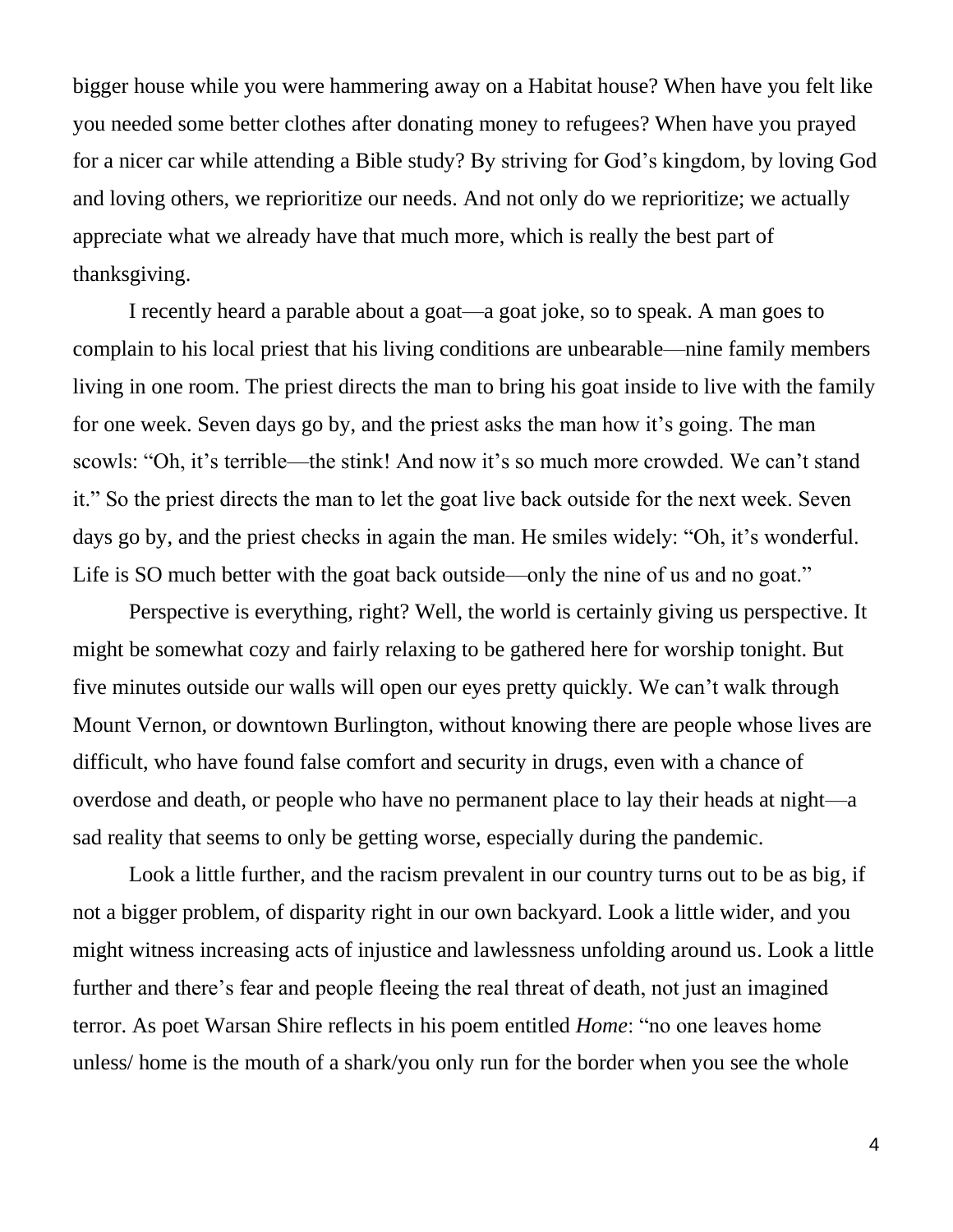bigger house while you were hammering away on a Habitat house? When have you felt like you needed some better clothes after donating money to refugees? When have you prayed for a nicer car while attending a Bible study? By striving for God's kingdom, by loving God and loving others, we reprioritize our needs. And not only do we reprioritize; we actually appreciate what we already have that much more, which is really the best part of thanksgiving.

I recently heard a parable about a goat—a goat joke, so to speak. A man goes to complain to his local priest that his living conditions are unbearable—nine family members living in one room. The priest directs the man to bring his goat inside to live with the family for one week. Seven days go by, and the priest asks the man how it's going. The man scowls: "Oh, it's terrible—the stink! And now it's so much more crowded. We can't stand it." So the priest directs the man to let the goat live back outside for the next week. Seven days go by, and the priest checks in again the man. He smiles widely: "Oh, it's wonderful. Life is SO much better with the goat back outside—only the nine of us and no goat."

Perspective is everything, right? Well, the world is certainly giving us perspective. It might be somewhat cozy and fairly relaxing to be gathered here for worship tonight. But five minutes outside our walls will open our eyes pretty quickly. We can't walk through Mount Vernon, or downtown Burlington, without knowing there are people whose lives are difficult, who have found false comfort and security in drugs, even with a chance of overdose and death, or people who have no permanent place to lay their heads at night—a sad reality that seems to only be getting worse, especially during the pandemic.

Look a little further, and the racism prevalent in our country turns out to be as big, if not a bigger problem, of disparity right in our own backyard. Look a little wider, and you might witness increasing acts of injustice and lawlessness unfolding around us. Look a little further and there's fear and people fleeing the real threat of death, not just an imagined terror. As poet Warsan Shire reflects in his poem entitled *Home*: "no one leaves home unless/ home is the mouth of a shark/you only run for the border when you see the whole